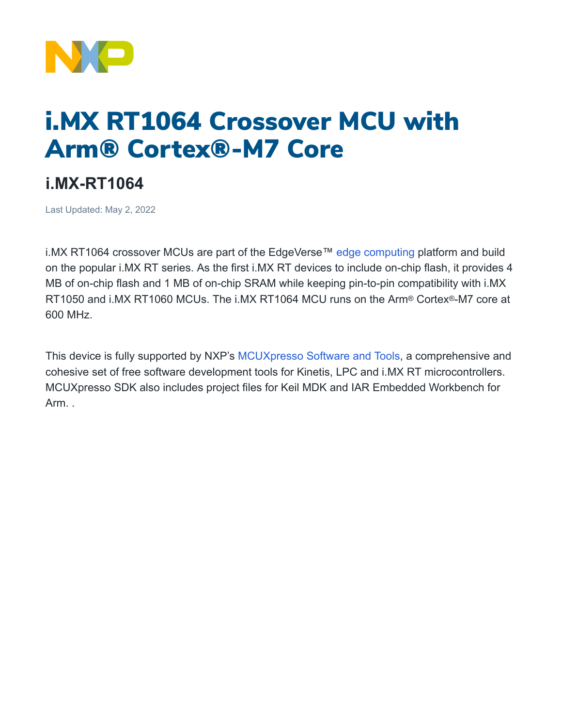

## i.MX RT1064 Crossover MCU with Arm® Cortex®-M7 Core

## **i.MX-RT1064**

Last Updated: May 2, 2022

i.MX RT1064 crossover MCUs are part of the EdgeVerse™ [edge computing](https://www.nxp.com/applications/enabling-technologies/edge-computing:EDGE-COMPUTING) platform and build on the popular i.MX RT series. As the first i.MX RT devices to include on-chip flash, it provides 4 MB of on-chip flash and 1 MB of on-chip SRAM while keeping pin-to-pin compatibility with i.MX RT1050 and i.MX RT1060 MCUs. The i.MX RT1064 MCU runs on the Arm® Cortex®-M7 core at 600 MHz.

This device is fully supported by NXP's [MCUXpresso](https://www.nxp.com/design/software/development-software/mcuxpresso-software-and-tools-:MCUXPRESSO) Software and Tools, a comprehensive and cohesive set of free software development tools for Kinetis, LPC and i.MX RT microcontrollers. MCUXpresso SDK also includes project files for Keil MDK and IAR Embedded Workbench for Arm. .